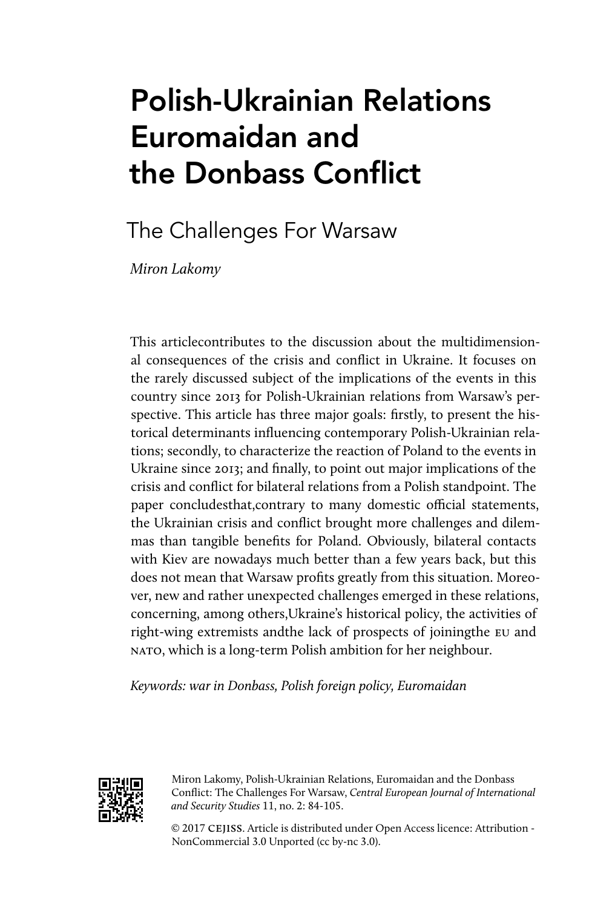# Polish-Ukrainian Relations Euromaidan and the Donbass Conflict

## The Challenges For Warsaw

*Miron Lakomy*

This articlecontributes to the discussion about the multidimensional consequences of the crisis and conflict in Ukraine. It focuses on the rarely discussed subject of the implications of the events in this country since 2013 for Polish-Ukrainian relations from Warsaw's perspective. This article has three major goals: firstly, to present the historical determinants influencing contemporary Polish-Ukrainian relations; secondly, to characterize the reaction of Poland to the events in Ukraine since 2013; and finally, to point out major implications of the crisis and conflict for bilateral relations from a Polish standpoint. The paper concludesthat,contrary to many domestic official statements, the Ukrainian crisis and conflict brought more challenges and dilemmas than tangible benefits for Poland. Obviously, bilateral contacts with Kiev are nowadays much better than a few years back, but this does not mean that Warsaw profits greatly from this situation. Moreover, new and rather unexpected challenges emerged in these relations, concerning, among others,Ukraine's historical policy, the activities of right-wing extremists andthe lack of prospects of joiningthe EU and NATO, which is a long-term Polish ambition for her neighbour.

*Keywords: war in Donbass, Polish foreign policy, Euromaidan*



Miron Lakomy, Polish-Ukrainian Relations, Euromaidan and the Donbass Conflict: The Challenges For Warsaw, *Central European Journal of International and Security Studies* 11, no. 2: 84-105.

© 2017 cejiss. Article is distributed under Open Access licence: Attribution - NonCommercial 3.0 Unported (cc by-nc 3.0).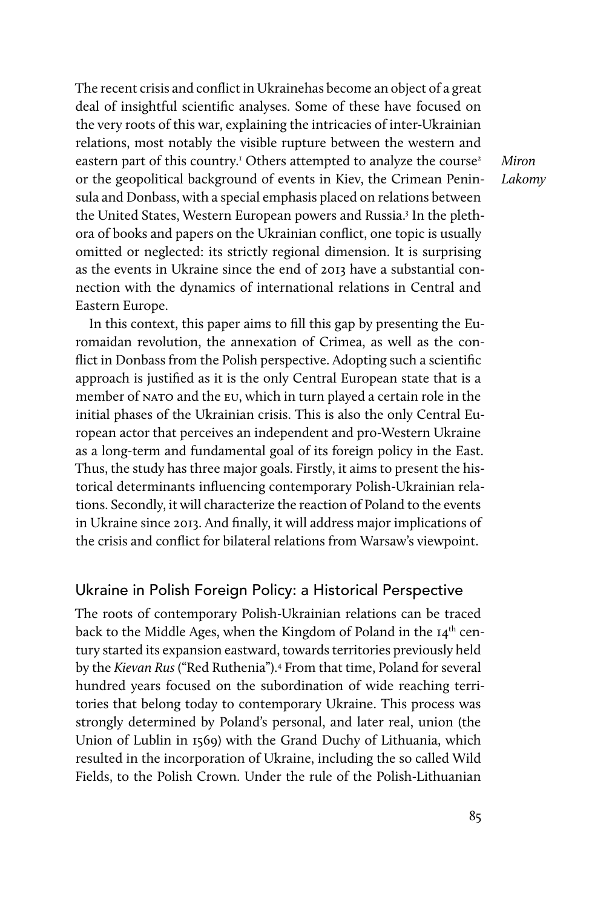The recent crisis and conflict in Ukrainehas become an object of a great deal of insightful scientific analyses. Some of these have focused on the very roots of this war, explaining the intricacies of inter-Ukrainian relations, most notably the visible rupture between the western and eastern part of this country.<sup>1</sup> Others attempted to analyze the course<sup>2</sup> or the geopolitical background of events in Kiev, the Crimean Peninsula and Donbass, with a special emphasis placed on relations between the United States, Western European powers and Russia.<sup>3</sup> In the plethora of books and papers on the Ukrainian conflict, one topic is usually omitted or neglected: its strictly regional dimension. It is surprising as the events in Ukraine since the end of 2013 have a substantial connection with the dynamics of international relations in Central and Eastern Europe.

In this context, this paper aims to fill this gap by presenting the Euromaidan revolution, the annexation of Crimea, as well as the conflict in Donbass from the Polish perspective. Adopting such a scientific approach is justified as it is the only Central European state that is a member of NATO and the EU, which in turn played a certain role in the initial phases of the Ukrainian crisis. This is also the only Central European actor that perceives an independent and pro-Western Ukraine as a long-term and fundamental goal of its foreign policy in the East. Thus, the study has three major goals. Firstly, it aims to present the historical determinants influencing contemporary Polish-Ukrainian relations. Secondly, it will characterize the reaction of Poland to the events in Ukraine since 2013. And finally, it will address major implications of the crisis and conflict for bilateral relations from Warsaw's viewpoint.

### Ukraine in Polish Foreign Policy: a Historical Perspective

The roots of contemporary Polish-Ukrainian relations can be traced back to the Middle Ages, when the Kingdom of Poland in the 14<sup>th</sup> century started its expansion eastward, towards territories previously held by the *Kievan Rus* ("Red Ruthenia").4 From that time, Poland for several hundred years focused on the subordination of wide reaching territories that belong today to contemporary Ukraine. This process was strongly determined by Poland's personal, and later real, union (the Union of Lublin in 1569) with the Grand Duchy of Lithuania, which resulted in the incorporation of Ukraine, including the so called Wild Fields, to the Polish Crown. Under the rule of the Polish-Lithuanian

*Miron Lakomy*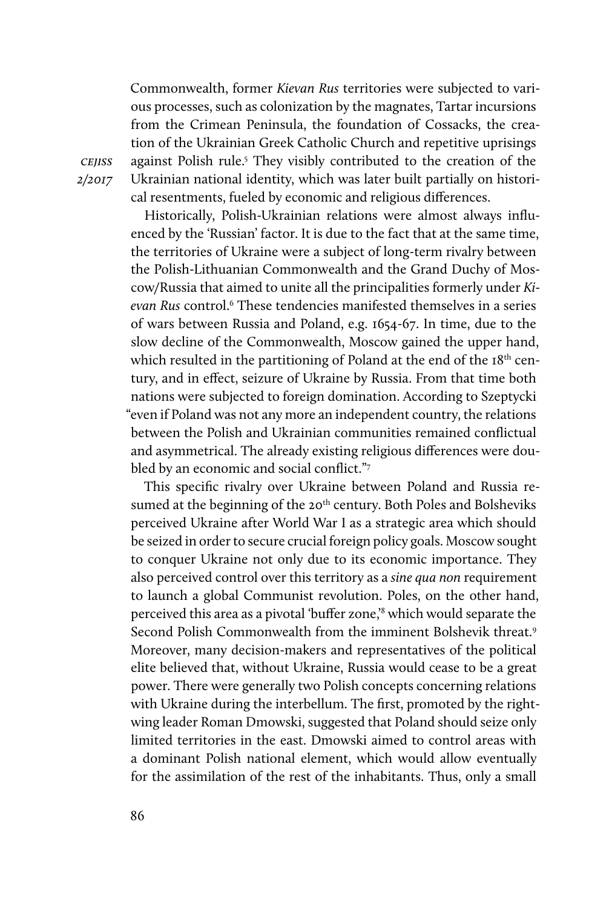Commonwealth, former *Kievan Rus* territories were subjected to various processes, such as colonization by the magnates, Tartar incursions from the Crimean Peninsula, the foundation of Cossacks, the creation of the Ukrainian Greek Catholic Church and repetitive uprisings against Polish rule.<sup>5</sup> They visibly contributed to the creation of the Ukrainian national identity, which was later built partially on historical resentments, fueled by economic and religious differences.

Historically, Polish-Ukrainian relations were almost always influenced by the 'Russian' factor. It is due to the fact that at the same time, the territories of Ukraine were a subject of long-term rivalry between the Polish-Lithuanian Commonwealth and the Grand Duchy of Moscow/Russia that aimed to unite all the principalities formerly under *Ki*evan Rus control.<sup>6</sup> These tendencies manifested themselves in a series of wars between Russia and Poland, e.g. 1654-67. In time, due to the slow decline of the Commonwealth, Moscow gained the upper hand, which resulted in the partitioning of Poland at the end of the 18<sup>th</sup> century, and in effect, seizure of Ukraine by Russia. From that time both nations were subjected to foreign domination. According to Szeptycki "even if Poland was not any more an independent country, the relations between the Polish and Ukrainian communities remained conflictual and asymmetrical. The already existing religious differences were doubled by an economic and social conflict."7

This specific rivalry over Ukraine between Poland and Russia resumed at the beginning of the 20<sup>th</sup> century. Both Poles and Bolsheviks perceived Ukraine after World War I as a strategic area which should be seized in order to secure crucial foreign policy goals. Moscow sought to conquer Ukraine not only due to its economic importance. They also perceived control over this territory as a *sine qua non* requirement to launch a global Communist revolution. Poles, on the other hand, perceived this area as a pivotal 'buffer zone,'<sup>8</sup> which would separate the Second Polish Commonwealth from the imminent Bolshevik threat.9 Moreover, many decision-makers and representatives of the political elite believed that, without Ukraine, Russia would cease to be a great power. There were generally two Polish concepts concerning relations with Ukraine during the interbellum. The first, promoted by the rightwing leader Roman Dmowski, suggested that Poland should seize only limited territories in the east. Dmowski aimed to control areas with a dominant Polish national element, which would allow eventually for the assimilation of the rest of the inhabitants. Thus, only a small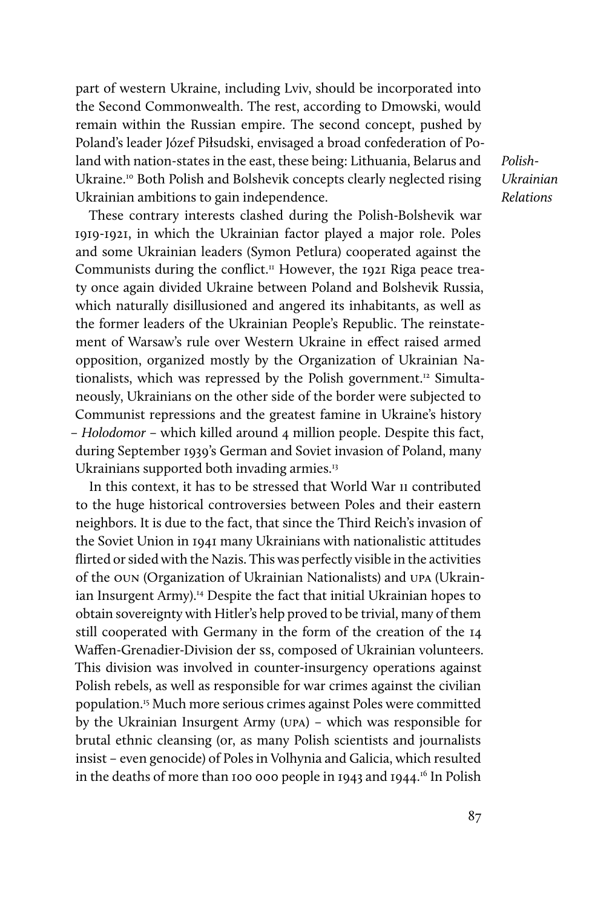part of western Ukraine, including Lviv, should be incorporated into the Second Commonwealth. The rest, according to Dmowski, would remain within the Russian empire. The second concept, pushed by Poland's leader Józef Piłsudski, envisaged a broad confederation of Poland with nation-states in the east, these being: Lithuania, Belarus and Ukraine.<sup>10</sup> Both Polish and Bolshevik concepts clearly neglected rising Ukrainian ambitions to gain independence.

These contrary interests clashed during the Polish-Bolshevik war 1919-1921, in which the Ukrainian factor played a major role. Poles and some Ukrainian leaders (Symon Petlura) cooperated against the Communists during the conflict.<sup>11</sup> However, the 1921 Riga peace treaty once again divided Ukraine between Poland and Bolshevik Russia, which naturally disillusioned and angered its inhabitants, as well as the former leaders of the Ukrainian People's Republic. The reinstatement of Warsaw's rule over Western Ukraine in effect raised armed opposition, organized mostly by the Organization of Ukrainian Nationalists, which was repressed by the Polish government.<sup>12</sup> Simultaneously, Ukrainians on the other side of the border were subjected to Communist repressions and the greatest famine in Ukraine's history – *Holodomor* – which killed around 4 million people. Despite this fact, during September 1939's German and Soviet invasion of Poland, many Ukrainians supported both invading armies.<sup>13</sup>

In this context, it has to be stressed that World War II contributed to the huge historical controversies between Poles and their eastern neighbors. It is due to the fact, that since the Third Reich's invasion of the Soviet Union in 1941 many Ukrainians with nationalistic attitudes flirted or sided with the Nazis. This was perfectly visible in the activities of the OUN (Organization of Ukrainian Nationalists) and UPA (Ukrainian Insurgent Army).<sup>14</sup> Despite the fact that initial Ukrainian hopes to obtain sovereignty with Hitler's help proved to be trivial, many of them still cooperated with Germany in the form of the creation of the 14 Waffen-Grenadier-Division der SS, composed of Ukrainian volunteers. This division was involved in counter-insurgency operations against Polish rebels, as well as responsible for war crimes against the civilian population.15 Much more serious crimes against Poles were committed by the Ukrainian Insurgent Army (UPA) – which was responsible for brutal ethnic cleansing (or, as many Polish scientists and journalists insist – even genocide) of Poles in Volhynia and Galicia, which resulted in the deaths of more than 100 000 people in 1943 and 1944.16 In Polish

*Polish-Ukrainian Relations*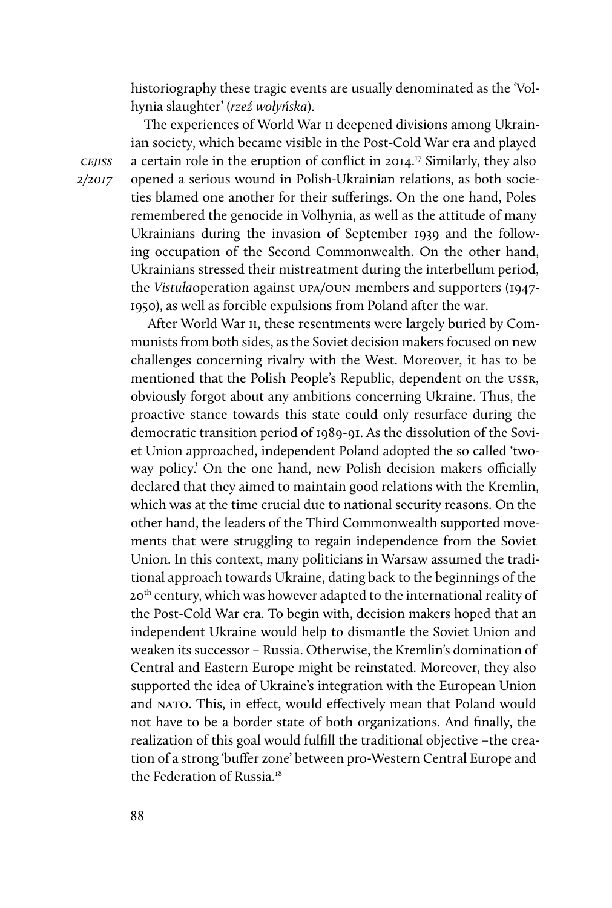historiography these tragic events are usually denominated as the 'Volhynia slaughter' (*rzeź wołyńska*).

The experiences of World War II deepened divisions among Ukrainian society, which became visible in the Post-Cold War era and played a certain role in the eruption of conflict in 2014.17 Similarly, they also opened a serious wound in Polish-Ukrainian relations, as both societies blamed one another for their sufferings. On the one hand, Poles remembered the genocide in Volhynia, as well as the attitude of many Ukrainians during the invasion of September 1939 and the following occupation of the Second Commonwealth. On the other hand, Ukrainians stressed their mistreatment during the interbellum period, the *Vistula*operation against UPA/OUN members and supporters (1947- 1950), as well as forcible expulsions from Poland after the war.

 After World War II, these resentments were largely buried by Communists from both sides, as the Soviet decision makers focused on new challenges concerning rivalry with the West. Moreover, it has to be mentioned that the Polish People's Republic, dependent on the USSR, obviously forgot about any ambitions concerning Ukraine. Thus, the proactive stance towards this state could only resurface during the democratic transition period of 1989-91. As the dissolution of the Soviet Union approached, independent Poland adopted the so called 'twoway policy.' On the one hand, new Polish decision makers officially declared that they aimed to maintain good relations with the Kremlin, which was at the time crucial due to national security reasons. On the other hand, the leaders of the Third Commonwealth supported movements that were struggling to regain independence from the Soviet Union. In this context, many politicians in Warsaw assumed the traditional approach towards Ukraine, dating back to the beginnings of the 20<sup>th</sup> century, which was however adapted to the international reality of the Post-Cold War era. To begin with, decision makers hoped that an independent Ukraine would help to dismantle the Soviet Union and weaken its successor – Russia. Otherwise, the Kremlin's domination of Central and Eastern Europe might be reinstated. Moreover, they also supported the idea of Ukraine's integration with the European Union and NATO. This, in effect, would effectively mean that Poland would not have to be a border state of both organizations. And finally, the realization of this goal would fulfill the traditional objective –the creation of a strong 'buffer zone' between pro-Western Central Europe and the Federation of Russia.<sup>18</sup>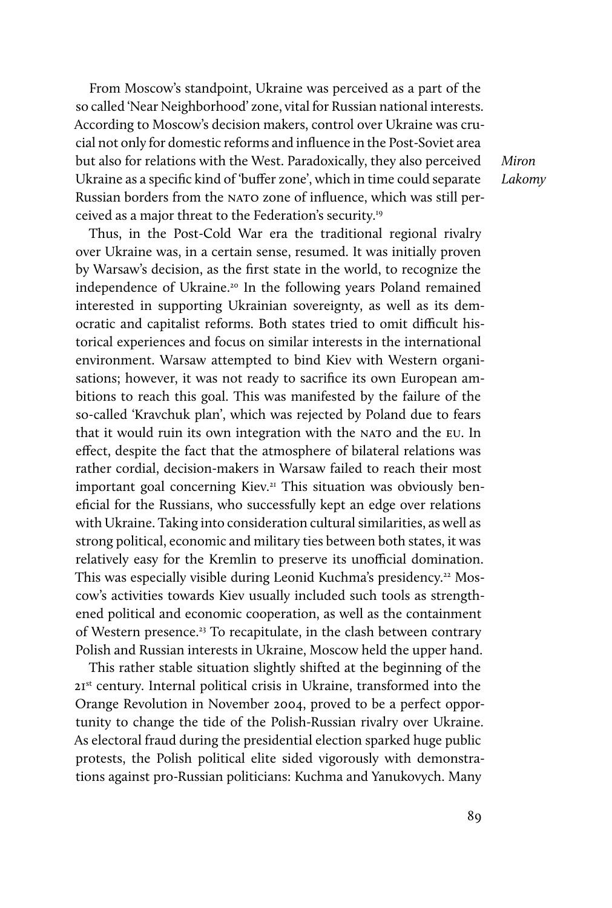From Moscow's standpoint, Ukraine was perceived as a part of the so called 'Near Neighborhood' zone, vital for Russian national interests. According to Moscow's decision makers, control over Ukraine was crucial not only for domestic reforms and influence in the Post-Soviet area but also for relations with the West. Paradoxically, they also perceived Ukraine as a specific kind of 'buffer zone', which in time could separate Russian borders from the NATO zone of influence, which was still perceived as a major threat to the Federation's security.19

*Miron Lakomy*

Thus, in the Post-Cold War era the traditional regional rivalry over Ukraine was, in a certain sense, resumed. It was initially proven by Warsaw's decision, as the first state in the world, to recognize the independence of Ukraine.<sup>20</sup> In the following years Poland remained interested in supporting Ukrainian sovereignty, as well as its democratic and capitalist reforms. Both states tried to omit difficult historical experiences and focus on similar interests in the international environment. Warsaw attempted to bind Kiev with Western organisations; however, it was not ready to sacrifice its own European ambitions to reach this goal. This was manifested by the failure of the so-called 'Kravchuk plan', which was rejected by Poland due to fears that it would ruin its own integration with the NATO and the EU. In effect, despite the fact that the atmosphere of bilateral relations was rather cordial, decision-makers in Warsaw failed to reach their most important goal concerning Kiev.<sup>21</sup> This situation was obviously beneficial for the Russians, who successfully kept an edge over relations with Ukraine. Taking into consideration cultural similarities, as well as strong political, economic and military ties between both states, it was relatively easy for the Kremlin to preserve its unofficial domination. This was especially visible during Leonid Kuchma's presidency.<sup>22</sup> Moscow's activities towards Kiev usually included such tools as strengthened political and economic cooperation, as well as the containment of Western presence.<sup>23</sup> To recapitulate, in the clash between contrary Polish and Russian interests in Ukraine, Moscow held the upper hand.

This rather stable situation slightly shifted at the beginning of the 21<sup>st</sup> century. Internal political crisis in Ukraine, transformed into the Orange Revolution in November 2004, proved to be a perfect opportunity to change the tide of the Polish-Russian rivalry over Ukraine. As electoral fraud during the presidential election sparked huge public protests, the Polish political elite sided vigorously with demonstrations against pro-Russian politicians: Kuchma and Yanukovych. Many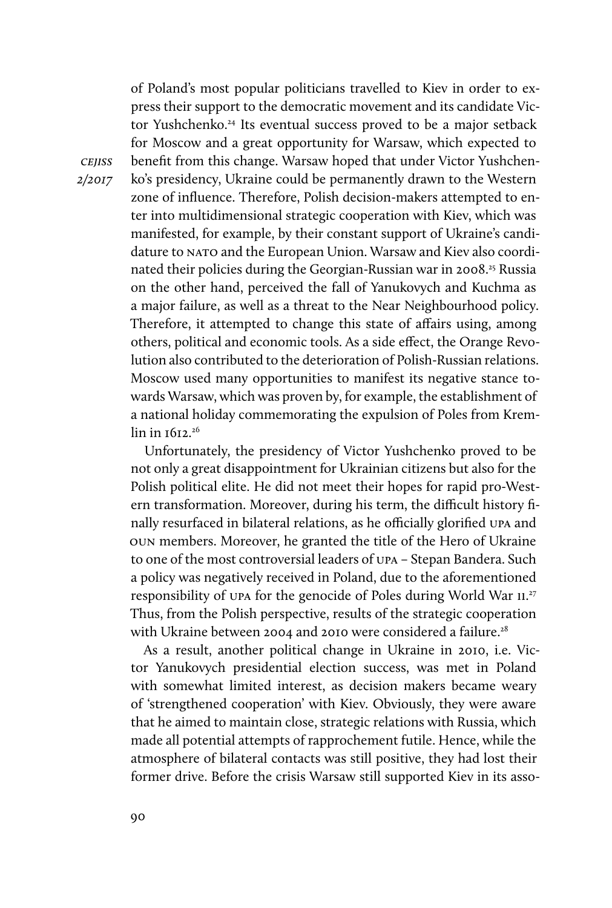of Poland's most popular politicians travelled to Kiev in order to express their support to the democratic movement and its candidate Victor Yushchenko.<sup>24</sup> Its eventual success proved to be a major setback for Moscow and a great opportunity for Warsaw, which expected to benefit from this change. Warsaw hoped that under Victor Yushchenko's presidency, Ukraine could be permanently drawn to the Western zone of influence. Therefore, Polish decision-makers attempted to enter into multidimensional strategic cooperation with Kiev, which was manifested, for example, by their constant support of Ukraine's candidature to NATO and the European Union. Warsaw and Kiev also coordinated their policies during the Georgian-Russian war in 2008.<sup>25</sup> Russia on the other hand, perceived the fall of Yanukovych and Kuchma as a major failure, as well as a threat to the Near Neighbourhood policy. Therefore, it attempted to change this state of affairs using, among others, political and economic tools. As a side effect, the Orange Revolution also contributed to the deterioration of Polish-Russian relations. Moscow used many opportunities to manifest its negative stance towards Warsaw, which was proven by, for example, the establishment of a national holiday commemorating the expulsion of Poles from Kremlin in 1612.<sup>26</sup>

Unfortunately, the presidency of Victor Yushchenko proved to be not only a great disappointment for Ukrainian citizens but also for the Polish political elite. He did not meet their hopes for rapid pro-Western transformation. Moreover, during his term, the difficult history finally resurfaced in bilateral relations, as he officially glorified UPA and OUN members. Moreover, he granted the title of the Hero of Ukraine to one of the most controversial leaders of UPA – Stepan Bandera. Such a policy was negatively received in Poland, due to the aforementioned responsibility of UPA for the genocide of Poles during World War II. 27 Thus, from the Polish perspective, results of the strategic cooperation with Ukraine between 2004 and 2010 were considered a failure.<sup>28</sup>

As a result, another political change in Ukraine in 2010, i.e. Victor Yanukovych presidential election success, was met in Poland with somewhat limited interest, as decision makers became weary of 'strengthened cooperation' with Kiev. Obviously, they were aware that he aimed to maintain close, strategic relations with Russia, which made all potential attempts of rapprochement futile. Hence, while the atmosphere of bilateral contacts was still positive, they had lost their former drive. Before the crisis Warsaw still supported Kiev in its asso-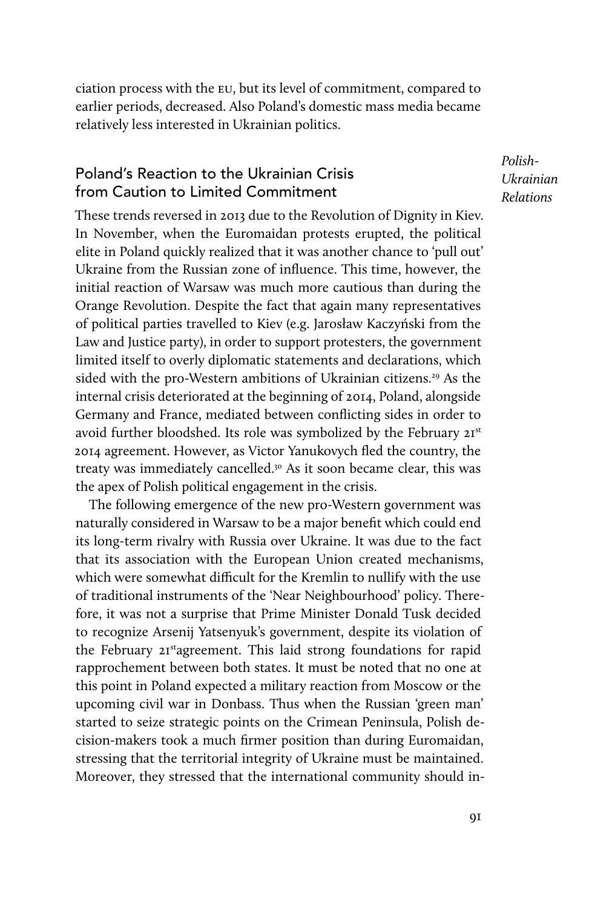ciation process with the EU, but its level of commitment, compared to earlier periods, decreased. Also Poland's domestic mass media became relatively less interested in Ukrainian politics.

### Poland's Reaction to the Ukrainian Crisis from Caution to Limited Commitment

*Polish-Ukrainian Relations*

These trends reversed in 2013 due to the Revolution of Dignity in Kiev. In November, when the Euromaidan protests erupted, the political elite in Poland quickly realized that it was another chance to 'pull out' Ukraine from the Russian zone of influence. This time, however, the initial reaction of Warsaw was much more cautious than during the Orange Revolution. Despite the fact that again many representatives of political parties travelled to Kiev (e.g. Jarosław Kaczyński from the Law and Justice party), in order to support protesters, the government limited itself to overly diplomatic statements and declarations, which sided with the pro-Western ambitions of Ukrainian citizens.<sup>29</sup> As the internal crisis deteriorated at the beginning of 2014, Poland, alongside Germany and France, mediated between conflicting sides in order to avoid further bloodshed. Its role was symbolized by the February 21st 2014 agreement. However, as Victor Yanukovych fled the country, the treaty was immediately cancelled.30 As it soon became clear, this was the apex of Polish political engagement in the crisis.

The following emergence of the new pro-Western government was naturally considered in Warsaw to be a major benefit which could end its long-term rivalry with Russia over Ukraine. It was due to the fact that its association with the European Union created mechanisms, which were somewhat difficult for the Kremlin to nullify with the use of traditional instruments of the 'Near Neighbourhood' policy. Therefore, it was not a surprise that Prime Minister Donald Tusk decided to recognize Arsenij Yatsenyuk's government, despite its violation of the February 21stagreement. This laid strong foundations for rapid rapprochement between both states. It must be noted that no one at this point in Poland expected a military reaction from Moscow or the upcoming civil war in Donbass. Thus when the Russian 'green man' started to seize strategic points on the Crimean Peninsula, Polish decision-makers took a much firmer position than during Euromaidan, stressing that the territorial integrity of Ukraine must be maintained. Moreover, they stressed that the international community should in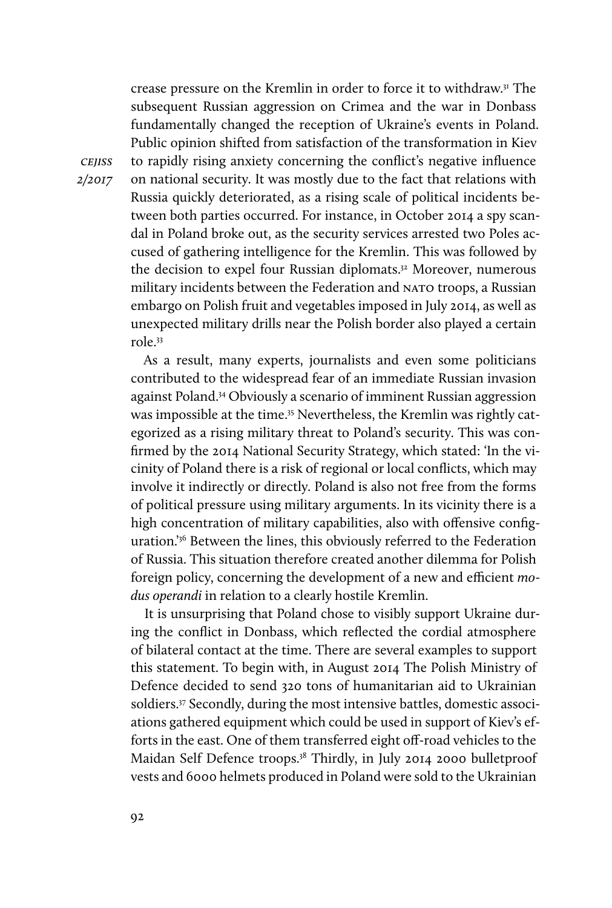crease pressure on the Kremlin in order to force it to withdraw.31 The subsequent Russian aggression on Crimea and the war in Donbass fundamentally changed the reception of Ukraine's events in Poland. Public opinion shifted from satisfaction of the transformation in Kiev to rapidly rising anxiety concerning the conflict's negative influence on national security. It was mostly due to the fact that relations with Russia quickly deteriorated, as a rising scale of political incidents between both parties occurred. For instance, in October 2014 a spy scandal in Poland broke out, as the security services arrested two Poles accused of gathering intelligence for the Kremlin. This was followed by the decision to expel four Russian diplomats.32 Moreover, numerous military incidents between the Federation and NATO troops, a Russian embargo on Polish fruit and vegetables imposed in July 2014, as well as unexpected military drills near the Polish border also played a certain role.33

As a result, many experts, journalists and even some politicians contributed to the widespread fear of an immediate Russian invasion against Poland.34 Obviously a scenario of imminent Russian aggression was impossible at the time.<sup>35</sup> Nevertheless, the Kremlin was rightly categorized as a rising military threat to Poland's security. This was confirmed by the 2014 National Security Strategy, which stated: 'In the vicinity of Poland there is a risk of regional or local conflicts, which may involve it indirectly or directly. Poland is also not free from the forms of political pressure using military arguments. In its vicinity there is a high concentration of military capabilities, also with offensive configuration.'36 Between the lines, this obviously referred to the Federation of Russia. This situation therefore created another dilemma for Polish foreign policy, concerning the development of a new and efficient *modus operandi* in relation to a clearly hostile Kremlin.

It is unsurprising that Poland chose to visibly support Ukraine during the conflict in Donbass, which reflected the cordial atmosphere of bilateral contact at the time. There are several examples to support this statement. To begin with, in August 2014 The Polish Ministry of Defence decided to send 320 tons of humanitarian aid to Ukrainian soldiers.<sup>37</sup> Secondly, during the most intensive battles, domestic associations gathered equipment which could be used in support of Kiev's efforts in the east. One of them transferred eight off-road vehicles to the Maidan Self Defence troops.<sup>38</sup> Thirdly, in July 2014 2000 bulletproof vests and 6000 helmets produced in Poland were sold to the Ukrainian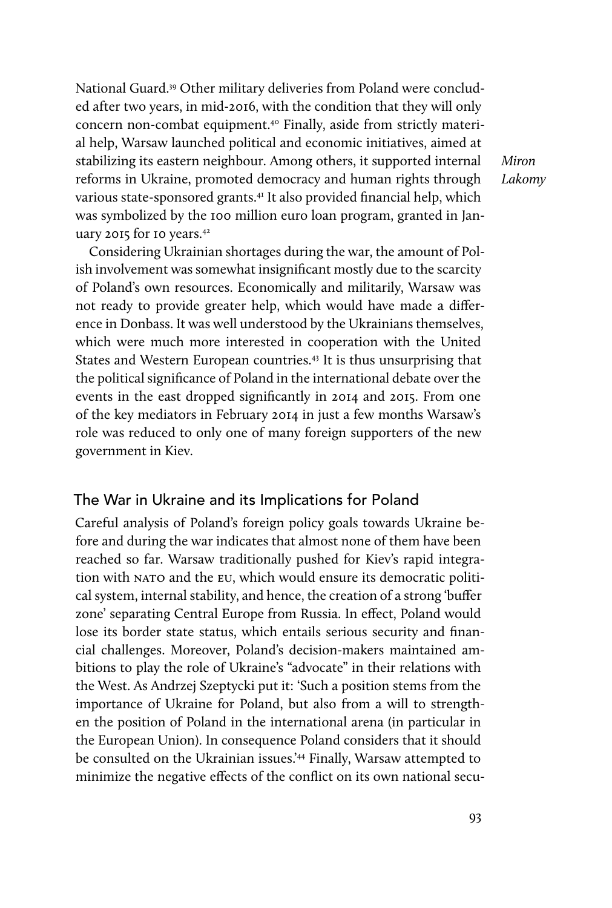National Guard.39 Other military deliveries from Poland were concluded after two years, in mid-2016, with the condition that they will only concern non-combat equipment.40 Finally, aside from strictly material help, Warsaw launched political and economic initiatives, aimed at stabilizing its eastern neighbour. Among others, it supported internal reforms in Ukraine, promoted democracy and human rights through various state-sponsored grants.<sup>41</sup> It also provided financial help, which was symbolized by the 100 million euro loan program, granted in January 2015 for 10 years.42

*Miron Lakomy*

Considering Ukrainian shortages during the war, the amount of Polish involvement was somewhat insignificant mostly due to the scarcity of Poland's own resources. Economically and militarily, Warsaw was not ready to provide greater help, which would have made a difference in Donbass. It was well understood by the Ukrainians themselves, which were much more interested in cooperation with the United States and Western European countries.<sup>43</sup> It is thus unsurprising that the political significance of Poland in the international debate over the events in the east dropped significantly in 2014 and 2015. From one of the key mediators in February 2014 in just a few months Warsaw's role was reduced to only one of many foreign supporters of the new government in Kiev.

#### The War in Ukraine and its Implications for Poland

Careful analysis of Poland's foreign policy goals towards Ukraine before and during the war indicates that almost none of them have been reached so far. Warsaw traditionally pushed for Kiev's rapid integration with NATO and the EU, which would ensure its democratic political system, internal stability, and hence, the creation of a strong 'buffer zone' separating Central Europe from Russia. In effect, Poland would lose its border state status, which entails serious security and financial challenges. Moreover, Poland's decision-makers maintained ambitions to play the role of Ukraine's "advocate" in their relations with the West. As Andrzej Szeptycki put it: 'Such a position stems from the importance of Ukraine for Poland, but also from a will to strengthen the position of Poland in the international arena (in particular in the European Union). In consequence Poland considers that it should be consulted on the Ukrainian issues.<sup>244</sup> Finally, Warsaw attempted to minimize the negative effects of the conflict on its own national secu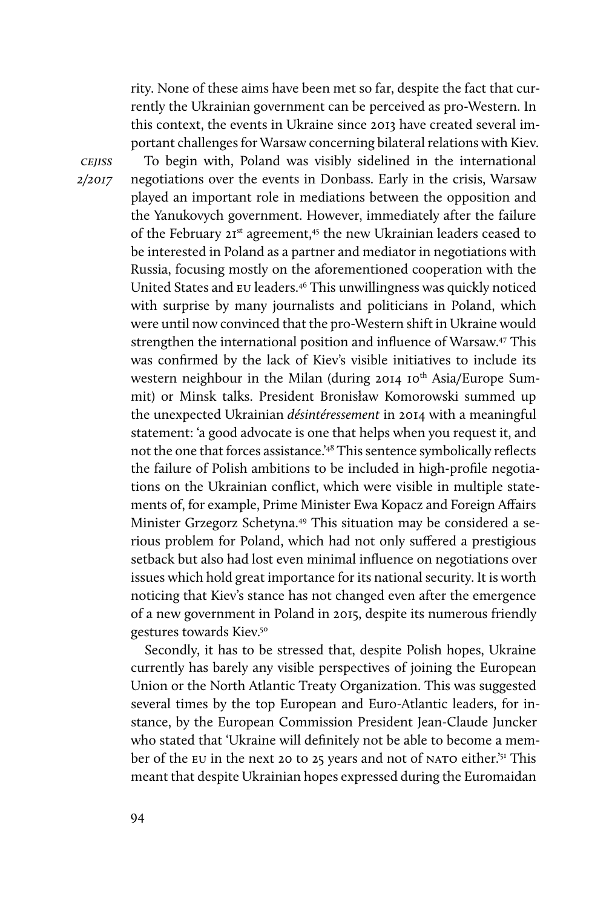rity. None of these aims have been met so far, despite the fact that currently the Ukrainian government can be perceived as pro-Western. In this context, the events in Ukraine since 2013 have created several important challenges for Warsaw concerning bilateral relations with Kiev. To begin with, Poland was visibly sidelined in the international negotiations over the events in Donbass. Early in the crisis, Warsaw played an important role in mediations between the opposition and the Yanukovych government. However, immediately after the failure of the February 21<sup>st</sup> agreement,<sup>45</sup> the new Ukrainian leaders ceased to be interested in Poland as a partner and mediator in negotiations with Russia, focusing mostly on the aforementioned cooperation with the United States and EU leaders.46 This unwillingness was quickly noticed with surprise by many journalists and politicians in Poland, which were until now convinced that the pro-Western shift in Ukraine would strengthen the international position and influence of Warsaw.47 This was confirmed by the lack of Kiev's visible initiatives to include its western neighbour in the Milan (during 2014 10<sup>th</sup> Asia/Europe Summit) or Minsk talks. President Bronisław Komorowski summed up the unexpected Ukrainian *désintéressement* in 2014 with a meaningful statement: 'a good advocate is one that helps when you request it, and not the one that forces assistance.'48 This sentence symbolically reflects the failure of Polish ambitions to be included in high-profile negotiations on the Ukrainian conflict, which were visible in multiple statements of, for example, Prime Minister Ewa Kopacz and Foreign Affairs Minister Grzegorz Schetyna.<sup>49</sup> This situation may be considered a serious problem for Poland, which had not only suffered a prestigious setback but also had lost even minimal influence on negotiations over issues which hold great importance for its national security. It is worth noticing that Kiev's stance has not changed even after the emergence of a new government in Poland in 2015, despite its numerous friendly gestures towards Kiev.50

Secondly, it has to be stressed that, despite Polish hopes, Ukraine currently has barely any visible perspectives of joining the European Union or the North Atlantic Treaty Organization. This was suggested several times by the top European and Euro-Atlantic leaders, for instance, by the European Commission President Jean-Claude Juncker who stated that 'Ukraine will definitely not be able to become a member of the EU in the next 20 to 25 years and not of NATO either.'51 This meant that despite Ukrainian hopes expressed during the Euromaidan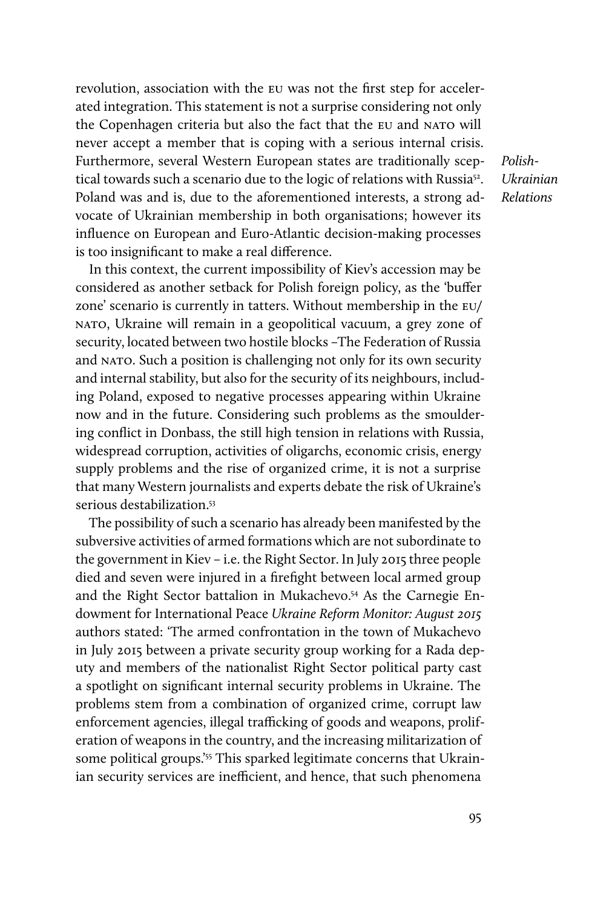revolution, association with the EU was not the first step for accelerated integration. This statement is not a surprise considering not only the Copenhagen criteria but also the fact that the EU and NATO will never accept a member that is coping with a serious internal crisis. Furthermore, several Western European states are traditionally sceptical towards such a scenario due to the logic of relations with Russia<sup>52</sup>. Poland was and is, due to the aforementioned interests, a strong advocate of Ukrainian membership in both organisations; however its influence on European and Euro-Atlantic decision-making processes is too insignificant to make a real difference.

In this context, the current impossibility of Kiev's accession may be considered as another setback for Polish foreign policy, as the 'buffer zone' scenario is currently in tatters. Without membership in the EU/ NATO, Ukraine will remain in a geopolitical vacuum, a grey zone of security, located between two hostile blocks –The Federation of Russia and NATO. Such a position is challenging not only for its own security and internal stability, but also for the security of its neighbours, including Poland, exposed to negative processes appearing within Ukraine now and in the future. Considering such problems as the smouldering conflict in Donbass, the still high tension in relations with Russia, widespread corruption, activities of oligarchs, economic crisis, energy supply problems and the rise of organized crime, it is not a surprise that many Western journalists and experts debate the risk of Ukraine's serious destabilization.<sup>53</sup>

The possibility of such a scenario has already been manifested by the subversive activities of armed formations which are not subordinate to the government in Kiev – i.e. the Right Sector. In July 2015 three people died and seven were injured in a firefight between local armed group and the Right Sector battalion in Mukachevo.54 As the Carnegie Endowment for International Peace *Ukraine Reform Monitor: August 2015* authors stated: 'The armed confrontation in the town of Mukachevo in July 2015 between a private security group working for a Rada deputy and members of the nationalist Right Sector political party cast a spotlight on significant internal security problems in Ukraine. The problems stem from a combination of organized crime, corrupt law enforcement agencies, illegal trafficking of goods and weapons, proliferation of weapons in the country, and the increasing militarization of some political groups.'<sup>55</sup> This sparked legitimate concerns that Ukrainian security services are inefficient, and hence, that such phenomena

*Polish-Ukrainian Relations*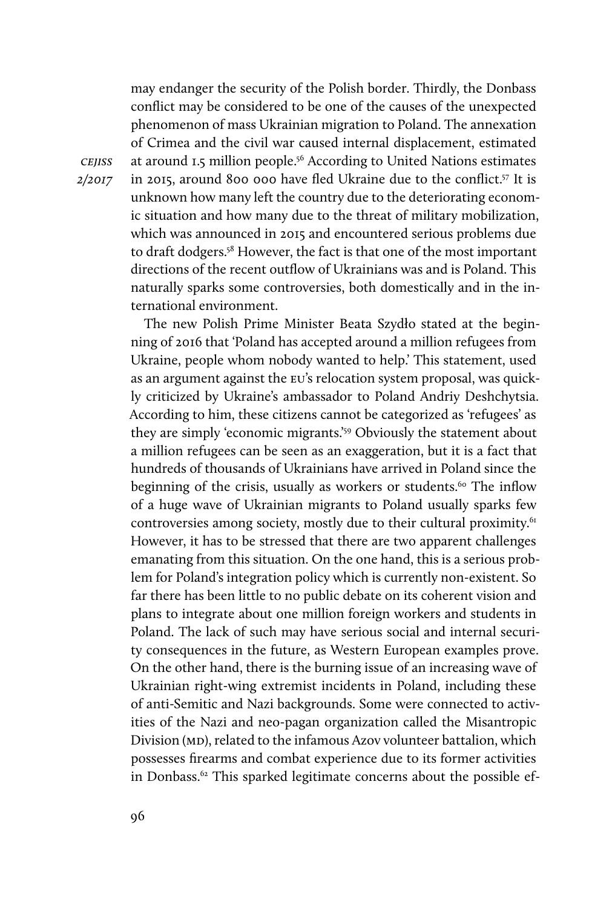may endanger the security of the Polish border. Thirdly, the Donbass conflict may be considered to be one of the causes of the unexpected phenomenon of mass Ukrainian migration to Poland. The annexation of Crimea and the civil war caused internal displacement, estimated at around 1.5 million people.56 According to United Nations estimates in 2015, around 800 000 have fled Ukraine due to the conflict.57 It is unknown how many left the country due to the deteriorating economic situation and how many due to the threat of military mobilization, which was announced in 2015 and encountered serious problems due to draft dodgers.58 However, the fact is that one of the most important directions of the recent outflow of Ukrainians was and is Poland. This naturally sparks some controversies, both domestically and in the international environment.

The new Polish Prime Minister Beata Szydło stated at the beginning of 2016 that 'Poland has accepted around a million refugees from Ukraine, people whom nobody wanted to help.' This statement, used as an argument against the EU's relocation system proposal, was quickly criticized by Ukraine's ambassador to Poland Andriy Deshchytsia. According to him, these citizens cannot be categorized as 'refugees' as they are simply 'economic migrants.'<sup>59</sup> Obviously the statement about a million refugees can be seen as an exaggeration, but it is a fact that hundreds of thousands of Ukrainians have arrived in Poland since the beginning of the crisis, usually as workers or students.<sup>60</sup> The inflow of a huge wave of Ukrainian migrants to Poland usually sparks few controversies among society, mostly due to their cultural proximity.<sup>61</sup> However, it has to be stressed that there are two apparent challenges emanating from this situation. On the one hand, this is a serious problem for Poland's integration policy which is currently non-existent. So far there has been little to no public debate on its coherent vision and plans to integrate about one million foreign workers and students in Poland. The lack of such may have serious social and internal security consequences in the future, as Western European examples prove. On the other hand, there is the burning issue of an increasing wave of Ukrainian right-wing extremist incidents in Poland, including these of anti-Semitic and Nazi backgrounds. Some were connected to activities of the Nazi and neo-pagan organization called the Misantropic Division (MD), related to the infamous Azov volunteer battalion, which possesses firearms and combat experience due to its former activities in Donbass.62 This sparked legitimate concerns about the possible ef-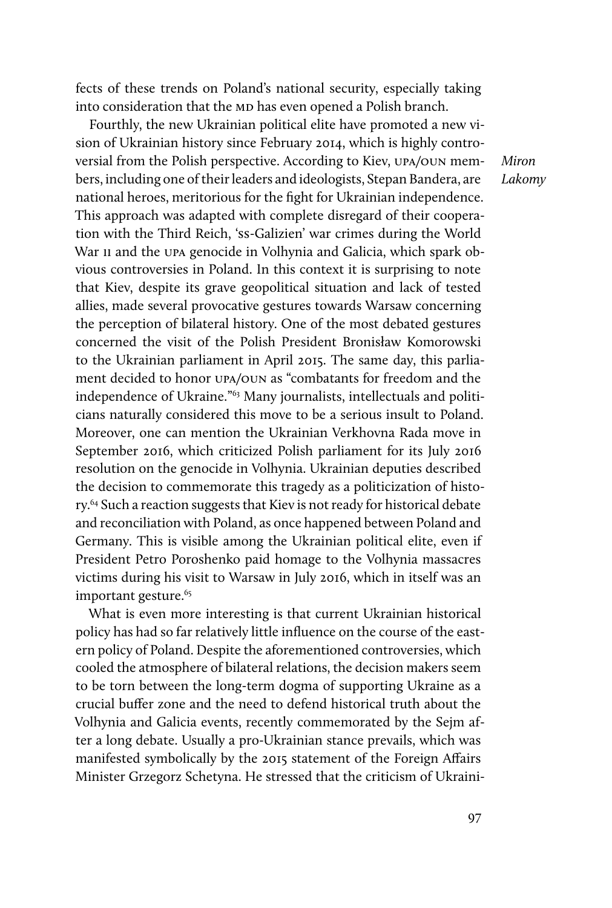fects of these trends on Poland's national security, especially taking into consideration that the MD has even opened a Polish branch.

Fourthly, the new Ukrainian political elite have promoted a new vision of Ukrainian history since February 2014, which is highly controversial from the Polish perspective. According to Kiev, UPA/OUN members, including one of their leaders and ideologists, Stepan Bandera, are national heroes, meritorious for the fight for Ukrainian independence. This approach was adapted with complete disregard of their cooperation with the Third Reich, 'SS-Galizien' war crimes during the World War II and the UPA genocide in Volhynia and Galicia, which spark obvious controversies in Poland. In this context it is surprising to note that Kiev, despite its grave geopolitical situation and lack of tested allies, made several provocative gestures towards Warsaw concerning the perception of bilateral history. One of the most debated gestures concerned the visit of the Polish President Bronisław Komorowski to the Ukrainian parliament in April 2015. The same day, this parliament decided to honor UPA/OUN as "combatants for freedom and the independence of Ukraine."63 Many journalists, intellectuals and politicians naturally considered this move to be a serious insult to Poland. Moreover, one can mention the Ukrainian Verkhovna Rada move in September 2016, which criticized Polish parliament for its July 2016 resolution on the genocide in Volhynia. Ukrainian deputies described the decision to commemorate this tragedy as a politicization of history.<sup>64</sup> Such a reaction suggests that Kiev is not ready for historical debate and reconciliation with Poland, as once happened between Poland and Germany. This is visible among the Ukrainian political elite, even if President Petro Poroshenko paid homage to the Volhynia massacres victims during his visit to Warsaw in July 2016, which in itself was an important gesture.<sup>65</sup>

What is even more interesting is that current Ukrainian historical policy has had so far relatively little influence on the course of the eastern policy of Poland. Despite the aforementioned controversies, which cooled the atmosphere of bilateral relations, the decision makers seem to be torn between the long-term dogma of supporting Ukraine as a crucial buffer zone and the need to defend historical truth about the Volhynia and Galicia events, recently commemorated by the Sejm after a long debate. Usually a pro-Ukrainian stance prevails, which was manifested symbolically by the 2015 statement of the Foreign Affairs Minister Grzegorz Schetyna. He stressed that the criticism of Ukraini*Miron Lakomy*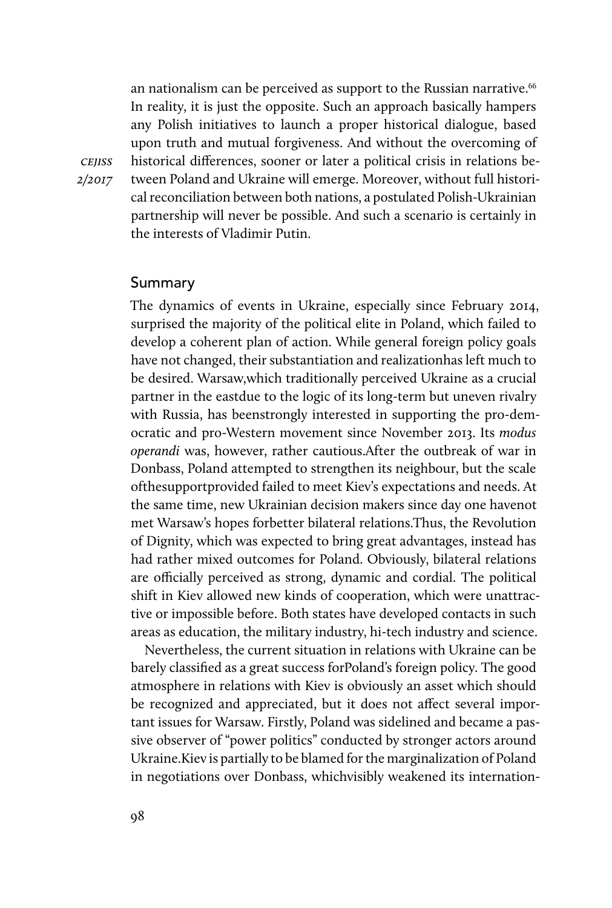an nationalism can be perceived as support to the Russian narrative.<sup>66</sup> In reality, it is just the opposite. Such an approach basically hampers any Polish initiatives to launch a proper historical dialogue, based upon truth and mutual forgiveness. And without the overcoming of historical differences, sooner or later a political crisis in relations between Poland and Ukraine will emerge. Moreover, without full historical reconciliation between both nations, a postulated Polish-Ukrainian partnership will never be possible. And such a scenario is certainly in the interests of Vladimir Putin.

#### Summary

The dynamics of events in Ukraine, especially since February 2014, surprised the majority of the political elite in Poland, which failed to develop a coherent plan of action. While general foreign policy goals have not changed, their substantiation and realizationhas left much to be desired. Warsaw,which traditionally perceived Ukraine as a crucial partner in the eastdue to the logic of its long-term but uneven rivalry with Russia, has beenstrongly interested in supporting the pro-democratic and pro-Western movement since November 2013. Its *modus operandi* was, however, rather cautious.After the outbreak of war in Donbass, Poland attempted to strengthen its neighbour, but the scale ofthesupportprovided failed to meet Kiev's expectations and needs. At the same time, new Ukrainian decision makers since day one havenot met Warsaw's hopes forbetter bilateral relations.Thus, the Revolution of Dignity, which was expected to bring great advantages, instead has had rather mixed outcomes for Poland. Obviously, bilateral relations are officially perceived as strong, dynamic and cordial. The political shift in Kiev allowed new kinds of cooperation, which were unattractive or impossible before. Both states have developed contacts in such areas as education, the military industry, hi-tech industry and science.

Nevertheless, the current situation in relations with Ukraine can be barely classified as a great success forPoland's foreign policy. The good atmosphere in relations with Kiev is obviously an asset which should be recognized and appreciated, but it does not affect several important issues for Warsaw. Firstly, Poland was sidelined and became a passive observer of "power politics" conducted by stronger actors around Ukraine.Kiev is partially to be blamed for the marginalization of Poland in negotiations over Donbass, whichvisibly weakened its internation-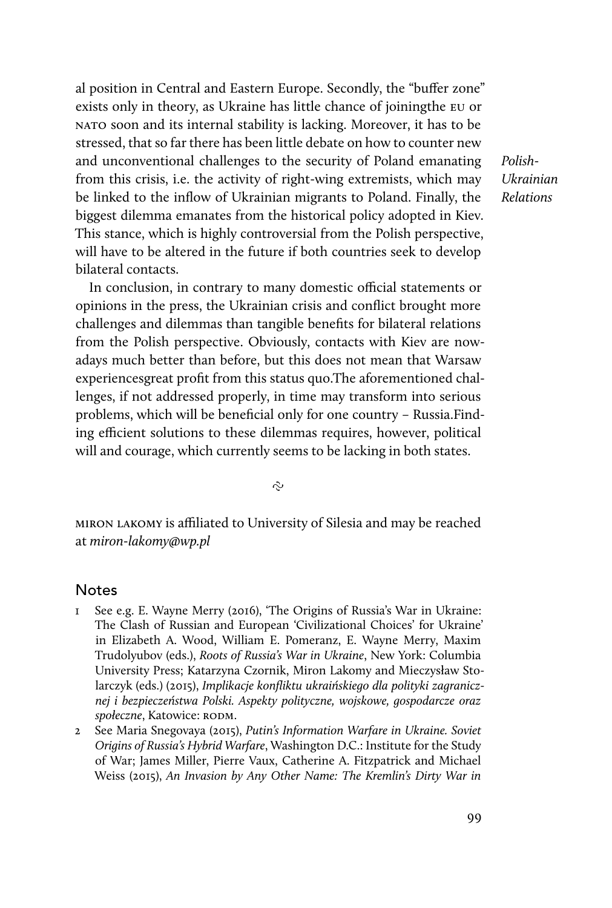al position in Central and Eastern Europe. Secondly, the "buffer zone" exists only in theory, as Ukraine has little chance of joiningthe EU or NATO soon and its internal stability is lacking. Moreover, it has to be stressed, that so far there has been little debate on how to counter new and unconventional challenges to the security of Poland emanating from this crisis, i.e. the activity of right-wing extremists, which may be linked to the inflow of Ukrainian migrants to Poland. Finally, the biggest dilemma emanates from the historical policy adopted in Kiev. This stance, which is highly controversial from the Polish perspective, will have to be altered in the future if both countries seek to develop bilateral contacts.

In conclusion, in contrary to many domestic official statements or opinions in the press, the Ukrainian crisis and conflict brought more challenges and dilemmas than tangible benefits for bilateral relations from the Polish perspective. Obviously, contacts with Kiev are nowadays much better than before, but this does not mean that Warsaw experiencesgreat profit from this status quo.The aforementioned challenges, if not addressed properly, in time may transform into serious problems, which will be beneficial only for one country – Russia.Finding efficient solutions to these dilemmas requires, however, political will and courage, which currently seems to be lacking in both states.

*Polish-Ukrainian Relations*

Ş

miron lakomy is affiliated to University of Silesia and may be reached at *miron-lakomy@wp.pl*

#### Notes

- 1 See e.g. E. Wayne Merry (2016), 'The Origins of Russia's War in Ukraine: The Clash of Russian and European 'Civilizational Choices' for Ukraine' in Elizabeth A. Wood, William E. Pomeranz, E. Wayne Merry, Maxim Trudolyubov (eds.), *Roots of Russia's War in Ukraine*, New York: Columbia University Press; Katarzyna Czornik, Miron Lakomy and Mieczysław Stolarczyk (eds.) (2015), *Implikacje konfliktu ukraińskiego dla polityki zagranicznej i bezpieczeństwa Polski. Aspekty polityczne, wojskowe, gospodarcze oraz społeczne*, Katowice: RODM.
- 2 See Maria Snegovaya (2015), *Putin's Information Warfare in Ukraine. Soviet Origins of Russia's Hybrid Warfare*, Washington D.C.: Institute for the Study of War; James Miller, Pierre Vaux, Catherine A. Fitzpatrick and Michael Weiss (2015), *An Invasion by Any Other Name: The Kremlin's Dirty War in*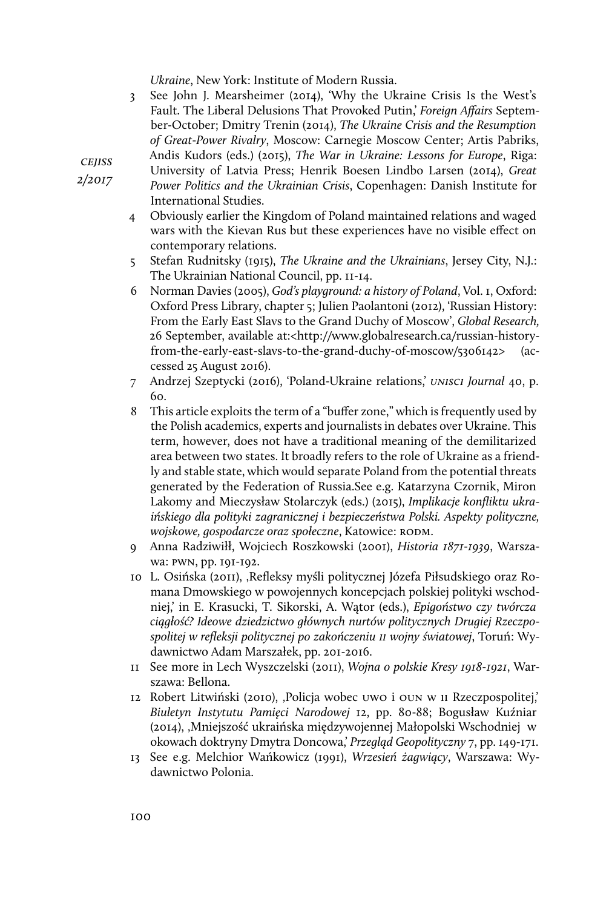*Ukraine*, New York: Institute of Modern Russia.

3 See John J. Mearsheimer (2014), 'Why the Ukraine Crisis Is the West's Fault. The Liberal Delusions That Provoked Putin,' *Foreign Affairs* September-October; Dmitry Trenin (2014), *The Ukraine Crisis and the Resumption of Great-Power Rivalry*, Moscow: Carnegie Moscow Center; Artis Pabriks, Andis Kudors (eds.) (2015), *The War in Ukraine: Lessons for Europe*, Riga:

University of Latvia Press; Henrik Boesen Lindbo Larsen (2014), *Great Power Politics and the Ukrainian Crisis*, Copenhagen: Danish Institute for International Studies.

- 4 Obviously earlier the Kingdom of Poland maintained relations and waged wars with the Kievan Rus but these experiences have no visible effect on contemporary relations.
- 5 Stefan Rudnitsky (1915), *The Ukraine and the Ukrainians*, Jersey City, N.J.: The Ukrainian National Council, pp. 11-14.
- 6 Norman Davies (2005), *God's playground: a history of Poland*, Vol. 1, Oxford: Oxford Press Library, chapter 5; Julien Paolantoni (2012), 'Russian History: From the Early East Slavs to the Grand Duchy of Moscow', *Global Research,*  26 September, available at:<http://www.globalresearch.ca/russian-historyfrom-the-early-east-slavs-to-the-grand-duchy-of-moscow/5306142> (accessed 25 August 2016).
- 7 Andrzej Szeptycki (2016), 'Poland-Ukraine relations,' *UNISCI Journal* 40, p. 60.
- 8 This article exploits the term of a "buffer zone," which is frequently used by the Polish academics, experts and journalists in debates over Ukraine. This term, however, does not have a traditional meaning of the demilitarized area between two states. It broadly refers to the role of Ukraine as a friendly and stable state, which would separate Poland from the potential threats generated by the Federation of Russia.See e.g. Katarzyna Czornik, Miron Lakomy and Mieczysław Stolarczyk (eds.) (2015), *Implikacje konfliktu ukraińskiego dla polityki zagranicznej i bezpieczeństwa Polski. Aspekty polityczne, wojskowe, gospodarcze oraz społeczne*, Katowice: RODM.
- 9 Anna Radziwiłł, Wojciech Roszkowski (2001), *Historia 1871-1939*, Warszawa: PWN, pp. 191-192.
- 10 L. Osińska (2011), 'Refleksy myśli politycznej Józefa Piłsudskiego oraz Romana Dmowskiego w powojennych koncepcjach polskiej polityki wschodniej,' in E. Krasucki, T. Sikorski, A. Wątor (eds.), *Epigoństwo czy twórcza ciągłość? Ideowe dziedzictwo głównych nurtów politycznych Drugiej Rzeczpospolitej w refleksji politycznej po zakończeniu II wojny światowej*, Toruń: Wydawnictwo Adam Marszałek, pp. 201-2016.
- 11 See more in Lech Wyszczelski (2011), *Wojna o polskie Kresy 1918-1921*, Warszawa: Bellona.
- 12 Robert Litwiński (2010), 'Policja wobec UWO i OUN w II Rzeczpospolitej,' *Biuletyn Instytutu Pamięci Narodowej* 12, pp. 80-88; Bogusław Kuźniar (2014), 'Mniejszość ukraińska międzywojennej Małopolski Wschodniej w okowach doktryny Dmytra Doncowa,' *Przegląd Geopolityczny* 7, pp. 149-171.
- 13 See e.g. Melchior Wańkowicz (1991), *Wrzesień żagwiący*, Warszawa: Wydawnictwo Polonia.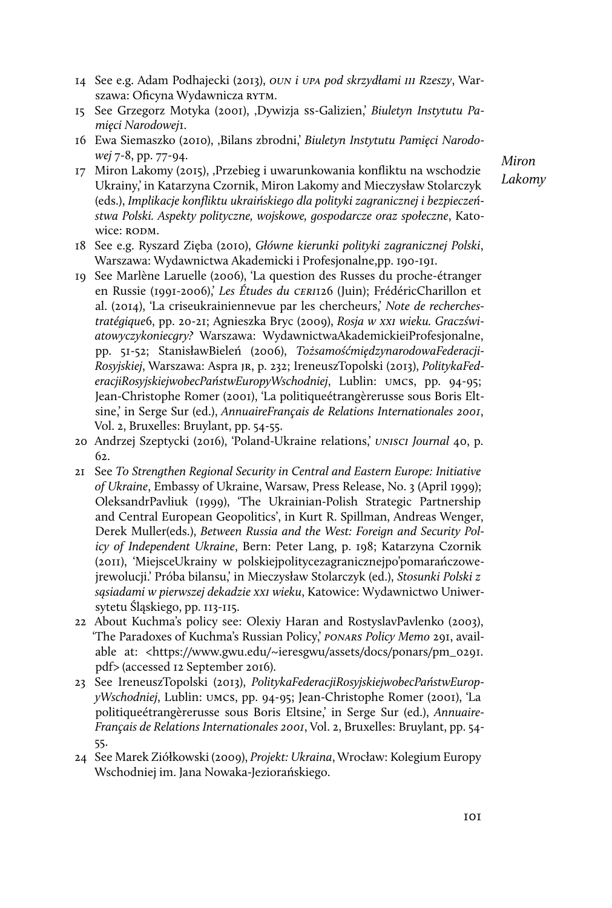- 14 See e.g. Adam Podhajecki (2013), *OUN i UPA pod skrzydłami III Rzeszy*, Warszawa: Oficyna Wydawnicza RYTM.
- 15 See Grzegorz Motyka (2001), 'Dywizja SS-Galizien,' *Biuletyn Instytutu Pamięci Narodowej*1.
- 16 Ewa Siemaszko (2010), 'Bilans zbrodni,' *Biuletyn Instytutu Pamięci Narodowej* 7-8, pp. 77-94.
- 17 Miron Lakomy (2015), 'Przebieg i uwarunkowania konfliktu na wschodzie Ukrainy,' in Katarzyna Czornik, Miron Lakomy and Mieczysław Stolarczyk (eds.), *Implikacje konfliktu ukraińskiego dla polityki zagranicznej i bezpieczeństwa Polski. Aspekty polityczne, wojskowe, gospodarcze oraz społeczne*, Katowice: RODM.

*Miron Lakomy*

- 18 See e.g. Ryszard Zięba (2010), *Główne kierunki polityki zagranicznej Polski*, Warszawa: Wydawnictwa Akademicki i Profesjonalne,pp. 190-191.
- 19 See Marlène Laruelle (2006), 'La question des Russes du proche-étranger en Russie (1991-2006),' *Les Études du CERI*126 (Juin); FrédéricCharillon et al. (2014), 'La criseukrainiennevue par les chercheurs,' *Note de recherchestratégique*6, pp. 20-21; Agnieszka Bryc (2009), *Rosja w XXI wieku. Graczświatowyczykoniecgry?* Warszawa: WydawnictwaAkademickieiProfesjonalne, pp. 51-52; StanisławBieleń (2006), *TożsamośćmiędzynarodowaFederacji-Rosyjskiej*, Warszawa: Aspra JR, p. 232; IreneuszTopolski (2013), *PolitykaFederacjiRosyjskiejwobecPaństwEuropyWschodniej*, Lublin: UMCS, pp. 94-95; Jean-Christophe Romer (2001), 'La politiqueétrangèrerusse sous Boris Eltsine,' in Serge Sur (ed.), *AnnuaireFrançais de Relations Internationales 2001*, Vol. 2, Bruxelles: Bruylant, pp. 54-55.
- 20 Andrzej Szeptycki (2016), 'Poland-Ukraine relations,' *UNISCI Journal* 40, p. 62.
- 21 See *To Strengthen Regional Security in Central and Eastern Europe: Initiative of Ukraine*, Embassy of Ukraine, Warsaw, Press Release, No. 3 (April 1999); OleksandrPavliuk (1999), 'The Ukrainian-Polish Strategic Partnership and Central European Geopolitics', in Kurt R. Spillman, Andreas Wenger, Derek Muller(eds.), *Between Russia and the West: Foreign and Security Policy of Independent Ukraine*, Bern: Peter Lang, p. 198; Katarzyna Czornik (2011), 'MiejsceUkrainy w polskiejpolitycezagranicznejpo'pomarańczowejrewolucji.' Próba bilansu,' in Mieczysław Stolarczyk (ed.), *Stosunki Polski z sąsiadami w pierwszej dekadzie XXI wieku*, Katowice: Wydawnictwo Uniwersytetu Śląskiego, pp. 113-115.
- 22 About Kuchma's policy see: Olexiy Haran and RostyslavPavlenko (2003), 'The Paradoxes of Kuchma's Russian Policy,' *PONARS Policy Memo* 291, available at: <https://www.gwu.edu/~ieresgwu/assets/docs/ponars/pm\_0291. pdf> (accessed 12 September 2016).
- 23 See IreneuszTopolski (2013), *PolitykaFederacjiRosyjskiejwobecPaństwEuropyWschodniej*, Lublin: UMCS, pp. 94-95; Jean-Christophe Romer (2001), 'La politiqueétrangèrerusse sous Boris Eltsine,' in Serge Sur (ed.), *Annuaire-Français de Relations Internationales 2001*, Vol. 2, Bruxelles: Bruylant, pp. 54- 55.
- 24 See Marek Ziółkowski (2009), *Projekt: Ukraina*, Wrocław: Kolegium Europy Wschodniej im. Jana Nowaka-Jeziorańskiego.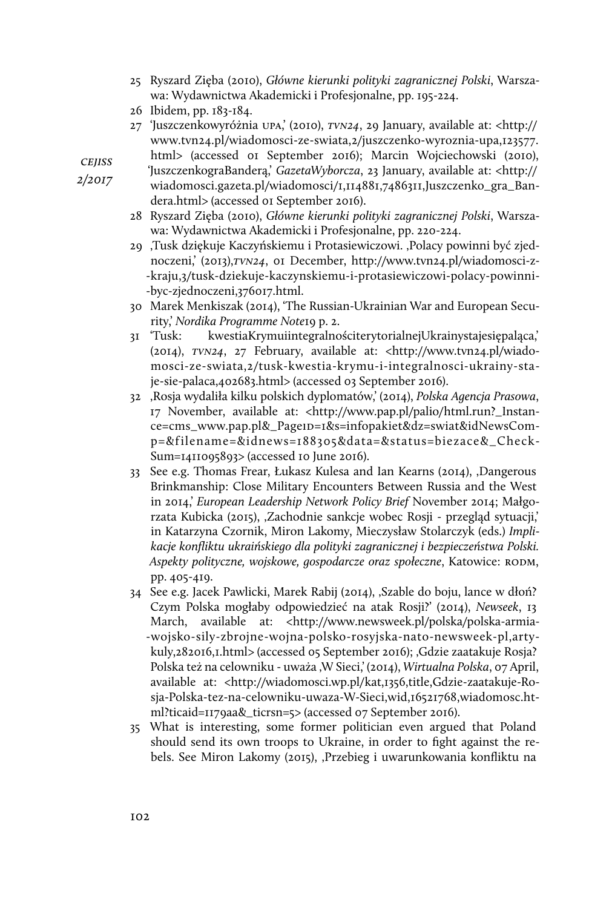- 25 Ryszard Zięba (2010), *Główne kierunki polityki zagranicznej Polski*, Warszawa: Wydawnictwa Akademicki i Profesjonalne, pp. 195-224.
- 26 Ibidem, pp. 183-184.
- 27 'Juszczenkowyróżnia UPA,' (2010), *TVN24*, 29 January, available at: <http:// www.tvn24.pl/wiadomosci-ze-swiata,2/juszczenko-wyroznia-upa,123577.

html> (accessed 01 September 2016); Marcin Wojciechowski (2010), 'JuszczenkograBanderą,' *GazetaWyborcza*, 23 January, available at: <http://

wiadomosci.gazeta.pl/wiadomosci/1,114881,7486311,Juszczenko\_gra\_Bandera.html> (accessed 01 September 2016).

- 28 Ryszard Zięba (2010), *Główne kierunki polityki zagranicznej Polski*, Warszawa: Wydawnictwa Akademicki i Profesjonalne, pp. 220-224.
- 29 'Tusk dziękuje Kaczyńskiemu i Protasiewiczowi. 'Polacy powinni być zjednoczeni,' (2013),*TVN24*, 01 December, http://www.tvn24.pl/wiadomosci-z- -kraju,3/tusk-dziekuje-kaczynskiemu-i-protasiewiczowi-polacy-powinni- -byc-zjednoczeni,376017.html.
- 30 Marek Menkiszak (2014), 'The Russian-Ukrainian War and European Security,' *Nordika Programme Note*19 p. 2.
- 31 'Tusk: kwestiaKrymuiintegralnościterytorialnejUkrainystajesiępaląca,' (2014), *TVN24*, 27 February, available at: <http://www.tvn24.pl/wiadomosci-ze-swiata,2/tusk-kwestia-krymu-i-integralnosci-ukrainy-staje-sie-palaca,402683.html> (accessed 03 September 2016).
- 32 'Rosja wydaliła kilku polskich dyplomatów,' (2014), *Polska Agencja Prasowa*, 17 November, available at: <http://www.pap.pl/palio/html.run?\_Instance=cms\_www.pap.pl&\_PageID=1&s=infopakiet&dz=swiat&idNewsComp=&filename=&idnews=188305&data=&status=biezace&\_Check-Sum=1411095893> (accessed 10 June 2016).
- 33 See e.g. Thomas Frear, Łukasz Kulesa and Ian Kearns (2014), "Dangerous Brinkmanship: Close Military Encounters Between Russia and the West in 2014,' *European Leadership Network Policy Brief* November 2014; Małgorzata Kubicka (2015), 'Zachodnie sankcje wobec Rosji - przegląd sytuacji,' in Katarzyna Czornik, Miron Lakomy, Mieczysław Stolarczyk (eds.) *Implikacje konfliktu ukraińskiego dla polityki zagranicznej i bezpieczeństwa Polski. Aspekty polityczne, wojskowe, gospodarcze oraz społeczne*, Katowice: RODM, pp. 405-419.
- 34 See e.g. Jacek Pawlicki, Marek Rabij (2014), 'Szable do boju, lance w dłoń? Czym Polska mogłaby odpowiedzieć na atak Rosji?' (2014), *Newseek*, 13 March, available at: <http://www.newsweek.pl/polska/polska-armia- -wojsko-sily-zbrojne-wojna-polsko-rosyjska-nato-newsweek-pl,artykuly,282016,1.html> (accessed 05 September 2016); ,Gdzie zaatakuje Rosja? Polska też na celowniku - uważa ,W Sieci,' (2014), *Wirtualna Polska*, 07 April, available at: <http://wiadomosci.wp.pl/kat,1356,title,Gdzie-zaatakuje-Rosja-Polska-tez-na-celowniku-uwaza-W-Sieci,wid,16521768,wiadomosc.html?ticaid=1179aa&\_ticrsn=5> (accessed 07 September 2016).
- 35 What is interesting, some former politician even argued that Poland should send its own troops to Ukraine, in order to fight against the rebels. See Miron Lakomy (2015), 'Przebieg i uwarunkowania konfliktu na

*cejiss*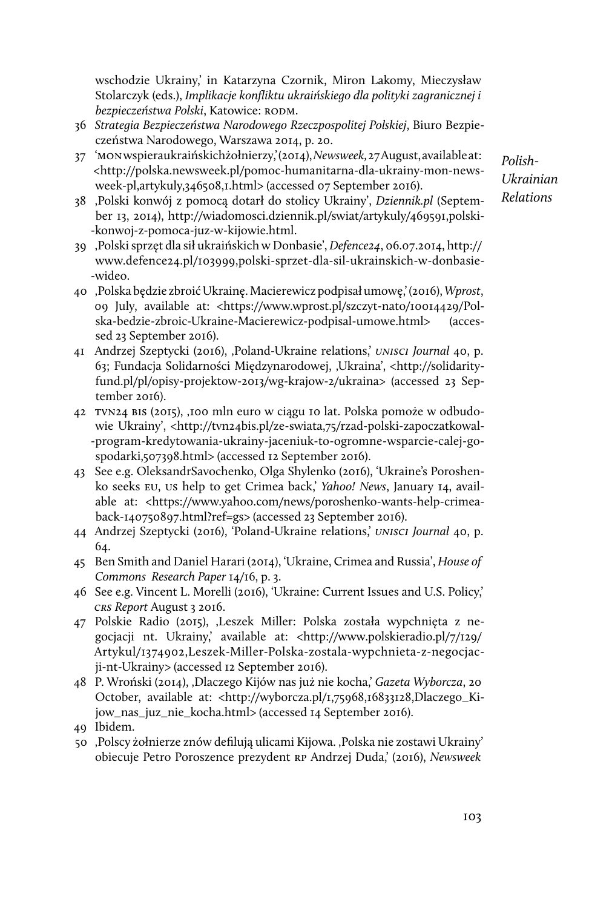wschodzie Ukrainy,' in Katarzyna Czornik, Miron Lakomy, Mieczysław Stolarczyk (eds.), *Implikacje konfliktu ukraińskiego dla polityki zagranicznej i bezpieczeństwa Polski*, Katowice: RODM.

- 36 *Strategia Bezpieczeństwa Narodowego Rzeczpospolitej Polskiej*, Biuro Bezpieczeństwa Narodowego, Warszawa 2014, p. 20.
- 37 'MON wspieraukraińskichżołnierzy,' (2014), *Newsweek,* 27 August, available at: <http://polska.newsweek.pl/pomoc-humanitarna-dla-ukrainy-mon-newsweek-pl,artykuly,346508,1.html> (accessed 07 September 2016).
- 38 'Polski konwój z pomocą dotarł do stolicy Ukrainy', *Dziennik.pl* (September 13, 2014), http://wiadomosci.dziennik.pl/swiat/artykuly/469591,polski- -konwoj-z-pomoca-juz-w-kijowie.html.
- 39 'Polski sprzęt dla sił ukraińskich w Donbasie', *Defence24*, 06.07.2014, http:// www.defence24.pl/103999,polski-sprzet-dla-sil-ukrainskich-w-donbasie- -wideo.
- 40 'Polska będzie zbroić Ukrainę. Macierewicz podpisał umowę,' (2016), *Wprost*, 09 July, available at: <https://www.wprost.pl/szczyt-nato/10014429/Polska-bedzie-zbroic-Ukraine-Macierewicz-podpisal-umowe.html> (accessed 23 September 2016).
- 41 Andrzej Szeptycki (2016), 'Poland-Ukraine relations,' *UNISCI Journal* 40, p. 63; Fundacja Solidarności Międzynarodowej, 'Ukraina', <http://solidarityfund.pl/pl/opisy-projektow-2013/wg-krajow-2/ukraina> (accessed 23 September 2016).
- 42 TVN24 BIS (2015), '100 mln euro w ciągu 10 lat. Polska pomoże w odbudowie Ukrainy', <http://tvn24bis.pl/ze-swiata,75/rzad-polski-zapoczatkowal--program-kredytowania-ukrainy-jaceniuk-to-ogromne-wsparcie-calej-gospodarki,507398.html> (accessed 12 September 2016).
- 43 See e.g. OleksandrSavochenko, Olga Shylenko (2016), 'Ukraine's Poroshenko seeks EU, US help to get Crimea back,' *Yahoo! News*, January 14, available at: <https://www.yahoo.com/news/poroshenko-wants-help-crimeaback-140750897.html?ref=gs> (accessed 23 September 2016).
- 44 Andrzej Szeptycki (2016), 'Poland-Ukraine relations,' *UNISCI Journal* 40, p. 64.
- 45 Ben Smith and Daniel Harari (2014), 'Ukraine, Crimea and Russia', *House of Commons Research Paper* 14/16, p. 3.
- 46 See e.g. Vincent L. Morelli (2016), 'Ukraine: Current Issues and U.S. Policy,' *CRS Report* August 3 2016.
- 47 Polskie Radio (2015), 'Leszek Miller: Polska została wypchnięta z negocjacji nt. Ukrainy,' available at: <http://www.polskieradio.pl/7/129/ Artykul/1374902,Leszek-Miller-Polska-zostala-wypchnieta-z-negocjacji-nt-Ukrainy> (accessed 12 September 2016).
- 48 P. Wroński (2014), 'Dlaczego Kijów nas już nie kocha,' *Gazeta Wyborcza*, 20 October, available at: <http://wyborcza.pl/1,75968,16833128,Dlaczego\_Kijow\_nas\_juz\_nie\_kocha.html> (accessed 14 September 2016).
- 49 Ibidem.
- 50 ,Polscy żołnierze znów defilują ulicami Kijowa. ,Polska nie zostawi Ukrainy' obiecuje Petro Poroszence prezydent RP Andrzej Duda,' (2016), *Newsweek*

*Polish-Ukrainian Relations*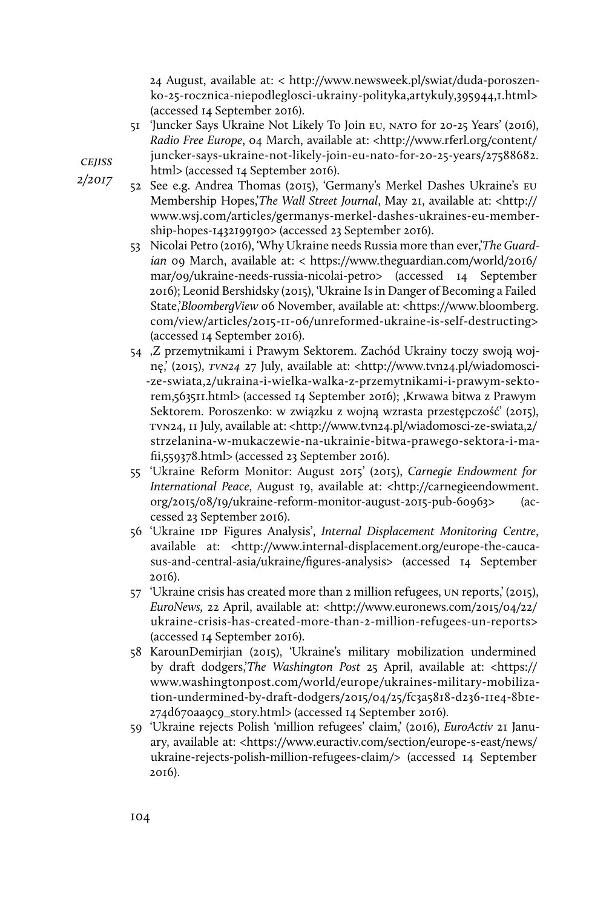24 August, available at: < http://www.newsweek.pl/swiat/duda-poroszenko-25-rocznica-niepodleglosci-ukrainy-polityka,artykuly,395944,1.html> (accessed 14 September 2016).

- 51 'Juncker Says Ukraine Not Likely To Join EU, NATO for 20-25 Years' (2016), *Radio Free Europe*, 04 March, available at: <http://www.rferl.org/content/ juncker-says-ukraine-not-likely-join-eu-nato-for-20-25-years/27588682.
- html> (accessed 14 September 2016).
	- 52 See e.g. Andrea Thomas (2015), 'Germany's Merkel Dashes Ukraine's EU Membership Hopes,'*The Wall Street Journal*, May 21, available at: <http:// www.wsj.com/articles/germanys-merkel-dashes-ukraines-eu-membership-hopes-1432199190> (accessed 23 September 2016).
	- 53 Nicolai Petro (2016), 'Why Ukraine needs Russia more than ever,'*The Guardian* 09 March, available at: < https://www.theguardian.com/world/2016/ mar/09/ukraine-needs-russia-nicolai-petro> (accessed 14 September 2016); Leonid Bershidsky (2015), 'Ukraine Is in Danger of Becoming a Failed State,'*BloombergView* 06 November, available at: <https://www.bloomberg. com/view/articles/2015-11-06/unreformed-ukraine-is-self-destructing> (accessed 14 September 2016).
	- 54 'Z przemytnikami i Prawym Sektorem. Zachód Ukrainy toczy swoją wojnę,' (2015), *TVN24* 27 July, available at: <http://www.tvn24.pl/wiadomosci- -ze-swiata,2/ukraina-i-wielka-walka-z-przemytnikami-i-prawym-sektorem,563511.html> (accessed 14 September 2016); ,Krwawa bitwa z Prawym Sektorem. Poroszenko: w związku z wojną wzrasta przestępczość' (2015), TVN24, 11 July, available at: <http://www.tvn24.pl/wiadomosci-ze-swiata,2/ strzelanina-w-mukaczewie-na-ukrainie-bitwa-prawego-sektora-i-mafii,559378.html> (accessed 23 September 2016).
	- 55 'Ukraine Reform Monitor: August 2015' (2015), *Carnegie Endowment for International Peace*, August 19, available at: <http://carnegieendowment. org/2015/08/19/ukraine-reform-monitor-august-2015-pub-60963> (accessed 23 September 2016).
	- 56 'Ukraine IDP Figures Analysis', *Internal Displacement Monitoring Centre*, available at: <http://www.internal-displacement.org/europe-the-caucasus-and-central-asia/ukraine/figures-analysis> (accessed 14 September 2016).
	- 57 'Ukraine crisis has created more than 2 million refugees, UN reports,' (2015), *EuroNews,* 22 April, available at: <http://www.euronews.com/2015/04/22/ ukraine-crisis-has-created-more-than-2-million-refugees-un-reports> (accessed 14 September 2016).
	- 58 KarounDemirjian (2015), 'Ukraine's military mobilization undermined by draft dodgers,'*The Washington Post* 25 April, available at: <https:// www.washingtonpost.com/world/europe/ukraines-military-mobilization-undermined-by-draft-dodgers/2015/04/25/fc3a5818-d236-11e4-8b1e-274d670aa9c9\_story.html> (accessed 14 September 2016).
	- 59 'Ukraine rejects Polish 'million refugees' claim,' (2016), *EuroActiv* 21 January, available at: <https://www.euractiv.com/section/europe-s-east/news/ ukraine-rejects-polish-million-refugees-claim/> (accessed 14 September 2016).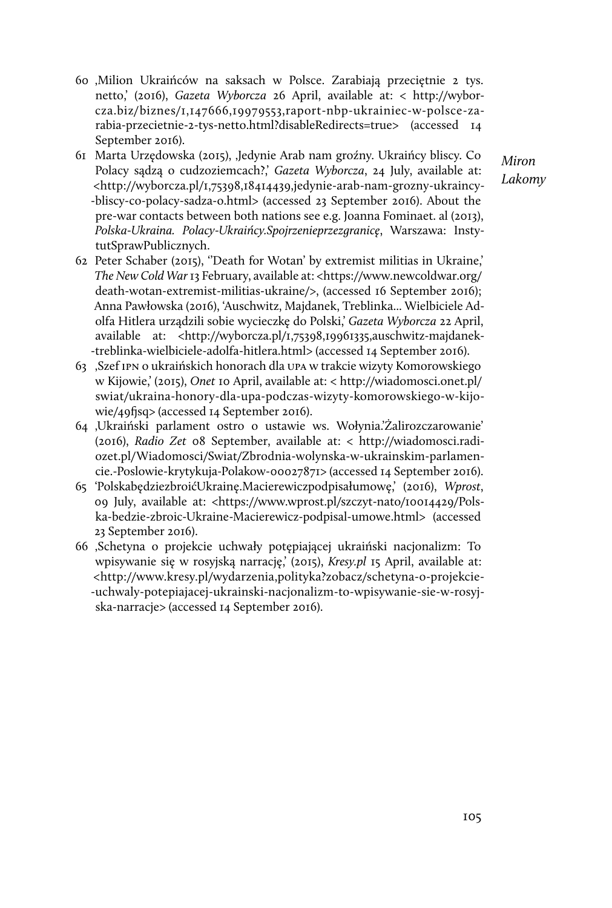- 60 'Milion Ukraińców na saksach w Polsce. Zarabiają przeciętnie 2 tys. netto,' (2016), *Gazeta Wyborcza* 26 April, available at: < http://wyborcza.biz/biznes/1,147666,19979553,raport-nbp-ukrainiec-w-polsce-zarabia-przecietnie-2-tys-netto.html?disableRedirects=true> (accessed 14 September 2016).
- 61 Marta Urzędowska (2015), 'Jedynie Arab nam groźny. Ukraińcy bliscy. Co Polacy sądzą o cudzoziemcach?,' *Gazeta Wyborcza*, 24 July, available at: <http://wyborcza.pl/1,75398,18414439,jedynie-arab-nam-grozny-ukraincy- -bliscy-co-polacy-sadza-o.html> (accessed 23 September 2016). About the pre-war contacts between both nations see e.g. Joanna Fominaet. al (2013), *Polska-Ukraina. Polacy-Ukraińcy.Spojrzenieprzezgranicę*, Warszawa: InstytutSprawPublicznych.
- 62 Peter Schaber (2015), ''Death for Wotan' by extremist militias in Ukraine,' *The New Cold War* 13 February, available at: <https://www.newcoldwar.org/ death-wotan-extremist-militias-ukraine/>, (accessed 16 September 2016); Anna Pawłowska (2016), 'Auschwitz, Majdanek, Treblinka... Wielbiciele Adolfa Hitlera urządzili sobie wycieczkę do Polski,' *Gazeta Wyborcza* 22 April, available at: <http://wyborcza.pl/1,75398,19961335,auschwitz-majdanek- -treblinka-wielbiciele-adolfa-hitlera.html> (accessed 14 September 2016).
- 63 'Szef IPN o ukraińskich honorach dla UPA w trakcie wizyty Komorowskiego w Kijowie,' (2015), *Onet* 10 April, available at: < http://wiadomosci.onet.pl/ swiat/ukraina-honory-dla-upa-podczas-wizyty-komorowskiego-w-kijowie/49fjsq> (accessed 14 September 2016).
- 64 'Ukraiński parlament ostro o ustawie ws. Wołynia.'Żalirozczarowanie' (2016), *Radio Zet* 08 September, available at: < http://wiadomosci.radiozet.pl/Wiadomosci/Swiat/Zbrodnia-wolynska-w-ukrainskim-parlamencie.-Poslowie-krytykuja-Polakow-00027871> (accessed 14 September 2016).
- 65 'PolskabędziezbroićUkrainę.Macierewiczpodpisałumowę,' (2016), *Wprost*, 09 July, available at: <https://www.wprost.pl/szczyt-nato/10014429/Polska-bedzie-zbroic-Ukraine-Macierewicz-podpisal-umowe.html> (accessed 23 September 2016).
- 66 'Schetyna o projekcie uchwały potępiającej ukraiński nacjonalizm: To wpisywanie się w rosyjską narrację,' (2015), *Kresy.pl* 15 April, available at: <http://www.kresy.pl/wydarzenia,polityka?zobacz/schetyna-o-projekcie- -uchwaly-potepiajacej-ukrainski-nacjonalizm-to-wpisywanie-sie-w-rosyjska-narracje> (accessed 14 September 2016).

*Miron Lakomy*